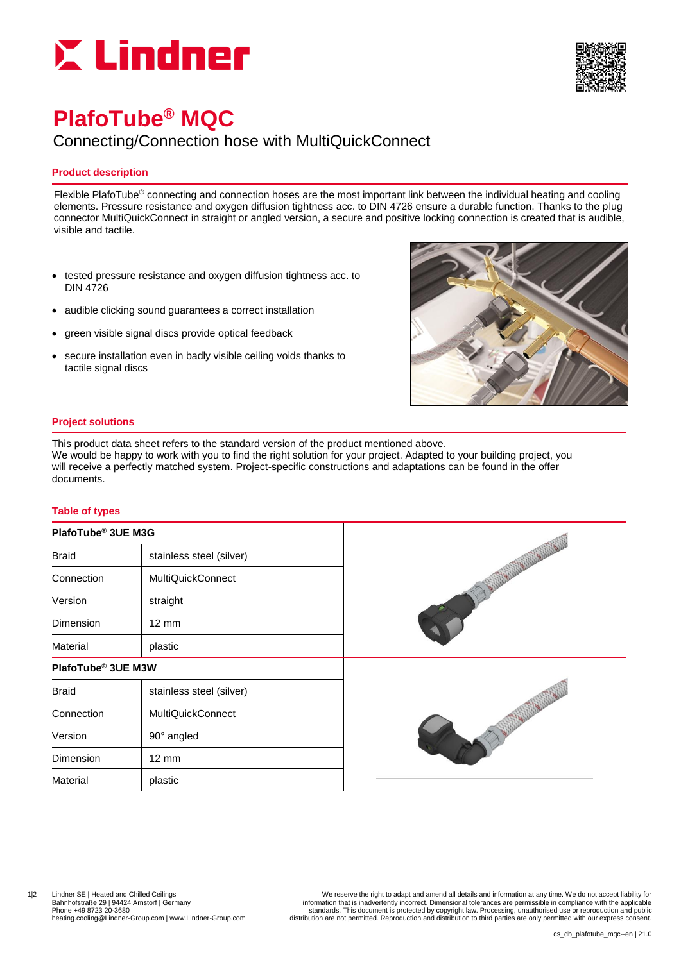



# **PlafoTube® MQC**

## Connecting/Connection hose with MultiQuickConnect

### **Product description**

Flexible PlafoTube® connecting and connection hoses are the most important link between the individual heating and cooling elements. Pressure resistance and oxygen diffusion tightness acc. to DIN 4726 ensure a durable function. Thanks to the plug connector MultiQuickConnect in straight or angled version, a secure and positive locking connection is created that is audible, visible and tactile.

- tested pressure resistance and oxygen diffusion tightness acc. to DIN 4726
- audible clicking sound guarantees a correct installation
- green visible signal discs provide optical feedback
- secure installation even in badly visible ceiling voids thanks to tactile signal discs



#### **Project solutions**

This product data sheet refers to the standard version of the product mentioned above. We would be happy to work with you to find the right solution for your project. Adapted to your building project, you will receive a perfectly matched system. Project-specific constructions and adaptations can be found in the offer documents.

### **Table of types**

#### **PlafoTube® 3UE M3G**

| <b>Braid</b>                   | stainless steel (silver) |  |  |
|--------------------------------|--------------------------|--|--|
| Connection                     | <b>MultiQuickConnect</b> |  |  |
| Version                        | straight                 |  |  |
| Dimension                      | $12 \text{ mm}$          |  |  |
| Material                       | plastic                  |  |  |
| PlafoTube <sup>®</sup> 3UE M3W |                          |  |  |
| <b>Braid</b>                   | stainless steel (silver) |  |  |
|                                |                          |  |  |



Connection | MultiQuickConnect

Version | 90° angled

Dimension 12 mm Material | plastic

1|2 Lindner SE | Heated and Chilled Ceilings We reserve the right to adapt and amend all details and information at any time. We do not accept liability for Bahnhofstraße 29 | 94424 Arnstorf | Germany information that is inadvertently incorrect. Dimensional tolerances are permissible in compliance with the applicable<br>Phone +49 8723 20-3680 From expression and public Phone +49 8723 20-3680 standards. This document is protected by copyright law. Processing, unauthorised use or reproduction and public<br>heating.cooling@Lindner-Group.com | www.Lindner-Group.com | withdrer-Group.com distribu distribution are not permitted. Reproduction and distribution to third parties are only permitted with our express consent.